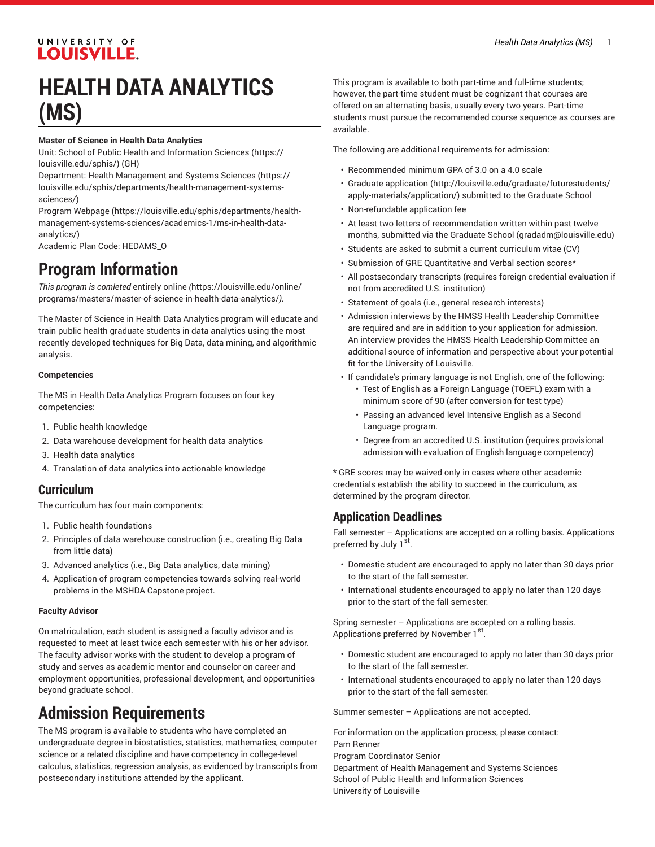#### UNIVERSITY OF **LOUISVILLE.**

# **HEALTH DATA ANALYTICS (MS)**

#### **Master of Science in Health Data Analytics**

Unit: [School of Public Health and Information Sciences](https://louisville.edu/sphis/) ([https://](https://louisville.edu/sphis/) [louisville.edu/sphis/](https://louisville.edu/sphis/)) (GH)

Department: [Health Management and Systems Sciences](https://louisville.edu/sphis/departments/health-management-systems-sciences/) ([https://](https://louisville.edu/sphis/departments/health-management-systems-sciences/) [louisville.edu/sphis/departments/health-management-systems](https://louisville.edu/sphis/departments/health-management-systems-sciences/)[sciences/](https://louisville.edu/sphis/departments/health-management-systems-sciences/))

Program [Webpage](https://louisville.edu/sphis/departments/health-management-systems-sciences/academics-1/ms-in-health-data-analytics/) [\(https://louisville.edu/sphis/departments/health](https://louisville.edu/sphis/departments/health-management-systems-sciences/academics-1/ms-in-health-data-analytics/)[management-systems-sciences/academics-1/ms-in-health-data](https://louisville.edu/sphis/departments/health-management-systems-sciences/academics-1/ms-in-health-data-analytics/)[analytics/\)](https://louisville.edu/sphis/departments/health-management-systems-sciences/academics-1/ms-in-health-data-analytics/)

Academic Plan Code: HEDAMS\_O

## **Program Information**

*This program is comleted* [entirely](https://louisville.edu/online/programs/masters/master-of-science-in-health-data-analytics/) online *(*[https://louisville.edu/online/](https://louisville.edu/online/programs/masters/master-of-science-in-health-data-analytics/) [programs/masters/master-of-science-in-health-data-analytics/](https://louisville.edu/online/programs/masters/master-of-science-in-health-data-analytics/)*).*

The Master of Science in Health Data Analytics program will educate and train public health graduate students in data analytics using the most recently developed techniques for Big Data, data mining, and algorithmic analysis.

#### **Competencies**

The MS in Health Data Analytics Program focuses on four key competencies:

- 1. Public health knowledge
- 2. Data warehouse development for health data analytics
- 3. Health data analytics
- 4. Translation of data analytics into actionable knowledge

#### **Curriculum**

The curriculum has four main components:

- 1. Public health foundations
- 2. Principles of data warehouse construction (i.e., creating Big Data from little data)
- 3. Advanced analytics (i.e., Big Data analytics, data mining)
- 4. Application of program competencies towards solving real-world problems in the MSHDA Capstone project.

#### **Faculty Advisor**

On matriculation, each student is assigned a faculty advisor and is requested to meet at least twice each semester with his or her advisor. The faculty advisor works with the student to develop a program of study and serves as academic mentor and counselor on career and employment opportunities, professional development, and opportunities beyond graduate school.

# **Admission Requirements**

The MS program is available to students who have completed an undergraduate degree in biostatistics, statistics, mathematics, computer science or a related discipline and have competency in college-level calculus, statistics, regression analysis, as evidenced by transcripts from postsecondary institutions attended by the applicant.

This program is available to both part-time and full-time students; however, the part-time student must be cognizant that courses are offered on an alternating basis, usually every two years. Part-time students must pursue the recommended course sequence as courses are available.

The following are additional requirements for admission:

- Recommended minimum GPA of 3.0 on a 4.0 scale
- [Graduate application](http://louisville.edu/graduate/futurestudents/apply-materials/application/) [\(http://louisville.edu/graduate/futurestudents/](http://louisville.edu/graduate/futurestudents/apply-materials/application/) [apply-materials/application/](http://louisville.edu/graduate/futurestudents/apply-materials/application/)) submitted to the Graduate School
- Non-refundable application fee
- At least two letters of recommendation written within past twelve months, submitted via the Graduate School [\(gradadm@louisville.edu\)](mailto:gradadm@louisville.edu)
- Students are asked to submit a current curriculum vitae (CV)
- Submission of GRE Quantitative and Verbal section scores\*
- All postsecondary transcripts (requires foreign credential evaluation if not from accredited U.S. institution)
- Statement of goals (i.e., general research interests)
- Admission interviews by the HMSS Health Leadership Committee are required and are in addition to your application for admission. An interview provides the HMSS Health Leadership Committee an additional source of information and perspective about your potential fit for the University of Louisville.
- If candidate's primary language is not English, one of the following:
	- Test of English as a Foreign Language (TOEFL) exam with a minimum score of 90 (after conversion for test type)
	- Passing an advanced level Intensive English as a Second Language program.
	- Degree from an accredited U.S. institution (requires provisional admission with evaluation of English language competency)

\* GRE scores may be waived only in cases where other academic credentials establish the ability to succeed in the curriculum, as determined by the program director.

## **Application Deadlines**

Fall semester – Applications are accepted on a rolling basis. Applications preferred by July 1<sup>st</sup>.

- Domestic student are encouraged to apply no later than 30 days prior to the start of the fall semester.
- International students encouraged to apply no later than 120 days prior to the start of the fall semester.

Spring semester – Applications are accepted on a rolling basis. Applications preferred by November 1<sup>st</sup>.

- Domestic student are encouraged to apply no later than 30 days prior to the start of the fall semester.
- International students encouraged to apply no later than 120 days prior to the start of the fall semester.

Summer semester – Applications are not accepted.

For information on the application process, please contact: Pam Renner Program Coordinator Senior Department of Health Management and Systems Sciences School of Public Health and Information Sciences University of Louisville